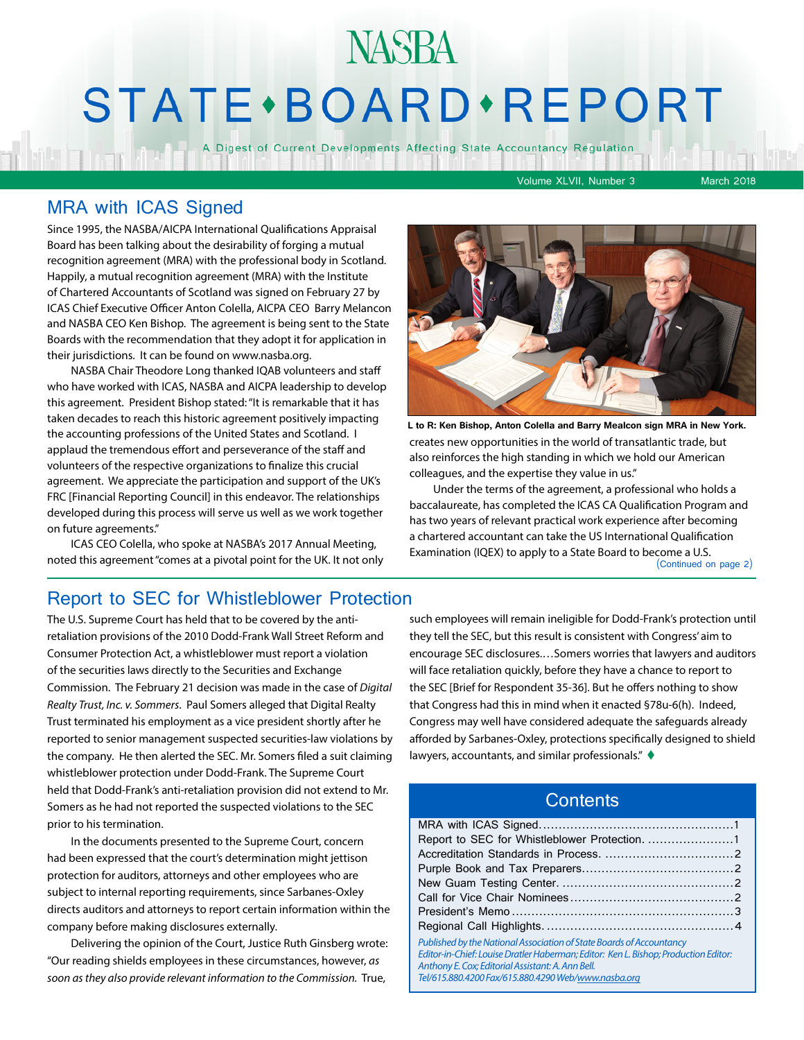## **NASBA** STATE · BOARD · REPORT

A Digest of Current Developments Affecting State Accountancy Regulation

Volume XLVII, Number 3 March 2018

#### MRA with ICAS Signed

Since 1995, the NASBA/AICPA International Qualifications Appraisal Board has been talking about the desirability of forging a mutual recognition agreement (MRA) with the professional body in Scotland. Happily, a mutual recognition agreement (MRA) with the Institute of Chartered Accountants of Scotland was signed on February 27 by ICAS Chief Executive Officer Anton Colella, AICPA CEO Barry Melancon and NASBA CEO Ken Bishop. The agreement is being sent to the State Boards with the recommendation that they adopt it for application in their jurisdictions. It can be found on www.nasba.org.

NASBA Chair Theodore Long thanked IQAB volunteers and staff who have worked with ICAS, NASBA and AICPA leadership to develop this agreement. President Bishop stated: "It is remarkable that it has taken decades to reach this historic agreement positively impacting the accounting professions of the United States and Scotland. I applaud the tremendous effort and perseverance of the staff and volunteers of the respective organizations to finalize this crucial agreement. We appreciate the participation and support of the UK's FRC [Financial Reporting Council] in this endeavor. The relationships developed during this process will serve us well as we work together on future agreements."

ICAS CEO Colella, who spoke at NASBA's 2017 Annual Meeting, noted this agreement "comes at a pivotal point for the UK. It not only



creates new opportunities in the world of transatlantic trade, but also reinforces the high standing in which we hold our American colleagues, and the expertise they value in us." **L to R: Ken Bishop, Anton Colella and Barry Mealcon sign MRA in New York.**

Under the terms of the agreement, a professional who holds a baccalaureate, has completed the ICAS CA Qualification Program and has two years of relevant practical work experience after becoming a chartered accountant can take the US International Qualification Examination (IQEX) to apply to a State Board to become a U.S.

(Continued on page 2)

#### Report to SEC for Whistleblower Protection

The U.S. Supreme Court has held that to be covered by the antiretaliation provisions of the 2010 Dodd-Frank Wall Street Reform and Consumer Protection Act, a whistleblower must report a violation of the securities laws directly to the Securities and Exchange Commission. The February 21 decision was made in the case of *Digital Realty Trust, Inc. v. Sommers*. Paul Somers alleged that Digital Realty Trust terminated his employment as a vice president shortly after he reported to senior management suspected securities-law violations by the company. He then alerted the SEC. Mr. Somers filed a suit claiming whistleblower protection under Dodd-Frank. The Supreme Court held that Dodd-Frank's anti-retaliation provision did not extend to Mr. Somers as he had not reported the suspected violations to the SEC prior to his termination.

In the documents presented to the Supreme Court, concern had been expressed that the court's determination might jettison protection for auditors, attorneys and other employees who are subject to internal reporting requirements, since Sarbanes-Oxley directs auditors and attorneys to report certain information within the company before making disclosures externally.

Delivering the opinion of the Court, Justice Ruth Ginsberg wrote: "Our reading shields employees in these circumstances, however, *as soon as they also provide relevant information to the Commission.* True,

such employees will remain ineligible for Dodd-Frank's protection until they tell the SEC, but this result is consistent with Congress' aim to encourage SEC disclosures.…Somers worries that lawyers and auditors will face retaliation quickly, before they have a chance to report to the SEC [Brief for Respondent 35-36]. But he offers nothing to show that Congress had this in mind when it enacted §78u-6(h). Indeed, Congress may well have considered adequate the safeguards already afforded by Sarbanes-Oxley, protections specifically designed to shield lawyers, accountants, and similar professionals."  $\blacklozenge$ 

#### **Contents**

| Report to SEC for Whistleblower Protection. 1                                                                                                                                                                                                                           |  |
|-------------------------------------------------------------------------------------------------------------------------------------------------------------------------------------------------------------------------------------------------------------------------|--|
|                                                                                                                                                                                                                                                                         |  |
|                                                                                                                                                                                                                                                                         |  |
|                                                                                                                                                                                                                                                                         |  |
|                                                                                                                                                                                                                                                                         |  |
|                                                                                                                                                                                                                                                                         |  |
|                                                                                                                                                                                                                                                                         |  |
| Published by the National Association of State Boards of Accountancy<br>Editor-in-Chief: Louise Dratler Haberman; Editor: Ken L. Bishop; Production Editor:<br>Anthony E. Cox; Editorial Assistant: A. Ann Bell.<br>Tel/615.880.4200 Fax/615.880.4290 Web/www.nasba.org |  |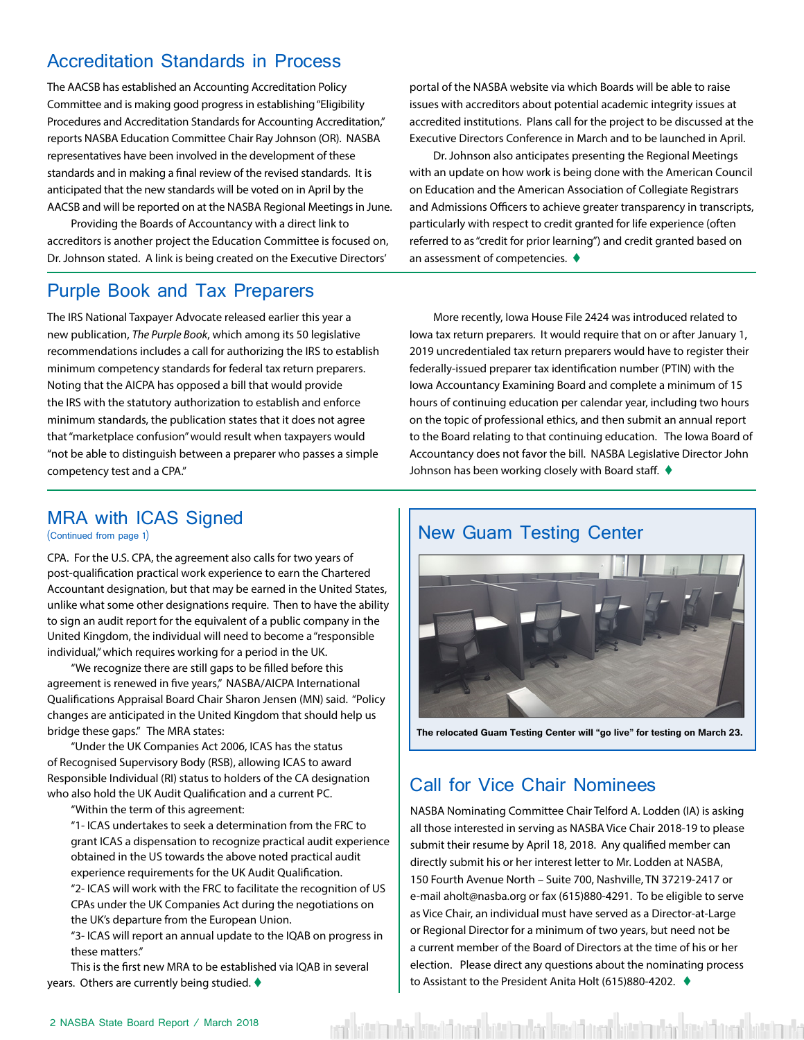#### <span id="page-1-0"></span>Accreditation Standards in Process

The AACSB has established an Accounting Accreditation Policy Committee and is making good progress in establishing "Eligibility Procedures and Accreditation Standards for Accounting Accreditation," reports NASBA Education Committee Chair Ray Johnson (OR). NASBA representatives have been involved in the development of these standards and in making a final review of the revised standards. It is anticipated that the new standards will be voted on in April by the AACSB and will be reported on at the NASBA Regional Meetings in June.

Providing the Boards of Accountancy with a direct link to accreditors is another project the Education Committee is focused on, Dr. Johnson stated. A link is being created on the Executive Directors'

#### Purple Book and Tax Preparers

The IRS National Taxpayer Advocate released earlier this year a new publication, *The Purple Book*, which among its 50 legislative recommendations includes a call for authorizing the IRS to establish minimum competency standards for federal tax return preparers. Noting that the AICPA has opposed a bill that would provide the IRS with the statutory authorization to establish and enforce minimum standards, the publication states that it does not agree that "marketplace confusion" would result when taxpayers would "not be able to distinguish between a preparer who passes a simple competency test and a CPA."

portal of the NASBA website via which Boards will be able to raise issues with accreditors about potential academic integrity issues at accredited institutions. Plans call for the project to be discussed at the Executive Directors Conference in March and to be launched in April.

Dr. Johnson also anticipates presenting the Regional Meetings with an update on how work is being done with the American Council on Education and the American Association of Collegiate Registrars and Admissions Officers to achieve greater transparency in transcripts, particularly with respect to credit granted for life experience (often referred to as "credit for prior learning") and credit granted based on an assessment of competencies.  $\blacklozenge$ 

More recently, Iowa House File 2424 was introduced related to Iowa tax return preparers. It would require that on or after January 1, 2019 uncredentialed tax return preparers would have to register their federally-issued preparer tax identification number (PTIN) with the Iowa Accountancy Examining Board and complete a minimum of 15 hours of continuing education per calendar year, including two hours on the topic of professional ethics, and then submit an annual report to the Board relating to that continuing education. The Iowa Board of Accountancy does not favor the bill. NASBA Legislative Director John Johnson has been working closely with Board staff.  $\blacklozenge$ 

#### MRA with ICAS Signed

(Continued from page 1)

CPA. For the U.S. CPA, the agreement also calls for two years of post-qualification practical work experience to earn the Chartered Accountant designation, but that may be earned in the United States, unlike what some other designations require. Then to have the ability to sign an audit report for the equivalent of a public company in the United Kingdom, the individual will need to become a "responsible individual," which requires working for a period in the UK.

"We recognize there are still gaps to be filled before this agreement is renewed in five years," NASBA/AICPA International Qualifications Appraisal Board Chair Sharon Jensen (MN) said. "Policy changes are anticipated in the United Kingdom that should help us bridge these gaps." The MRA states:

"Under the UK Companies Act 2006, ICAS has the status of Recognised Supervisory Body (RSB), allowing ICAS to award Responsible Individual (RI) status to holders of the CA designation who also hold the UK Audit Qualification and a current PC.

"Within the term of this agreement:

"1- ICAS undertakes to seek a determination from the FRC to grant ICAS a dispensation to recognize practical audit experience obtained in the US towards the above noted practical audit experience requirements for the UK Audit Qualification.

"2- ICAS will work with the FRC to facilitate the recognition of US CPAs under the UK Companies Act during the negotiations on the UK's departure from the European Union.

"3- ICAS will report an annual update to the IQAB on progress in these matters."

This is the first new MRA to be established via IQAB in several years. Others are currently being studied.  $\blacklozenge$ 

#### New Guam Testing Center



**The relocated Guam Testing Center will "go live" for testing on March 23.** 

#### Call for Vice Chair Nominees

NASBA Nominating Committee Chair Telford A. Lodden (IA) is asking all those interested in serving as NASBA Vice Chair 2018-19 to please submit their resume by April 18, 2018. Any qualified member can directly submit his or her interest letter to Mr. Lodden at NASBA, 150 Fourth Avenue North – Suite 700, Nashville, TN 37219-2417 or e-mail aholt@nasba.org or fax (615)880-4291. To be eligible to serve as Vice Chair, an individual must have served as a Director-at-Large or Regional Director for a minimum of two years, but need not be a current member of the Board of Directors at the time of his or her election. Please direct any questions about the nominating process to Assistant to the President Anita Holt (615)880-4202. ♦

ent kött im vinnist kött för att kött in vinnist kött av in vinnist kött i sem i kött af kött innis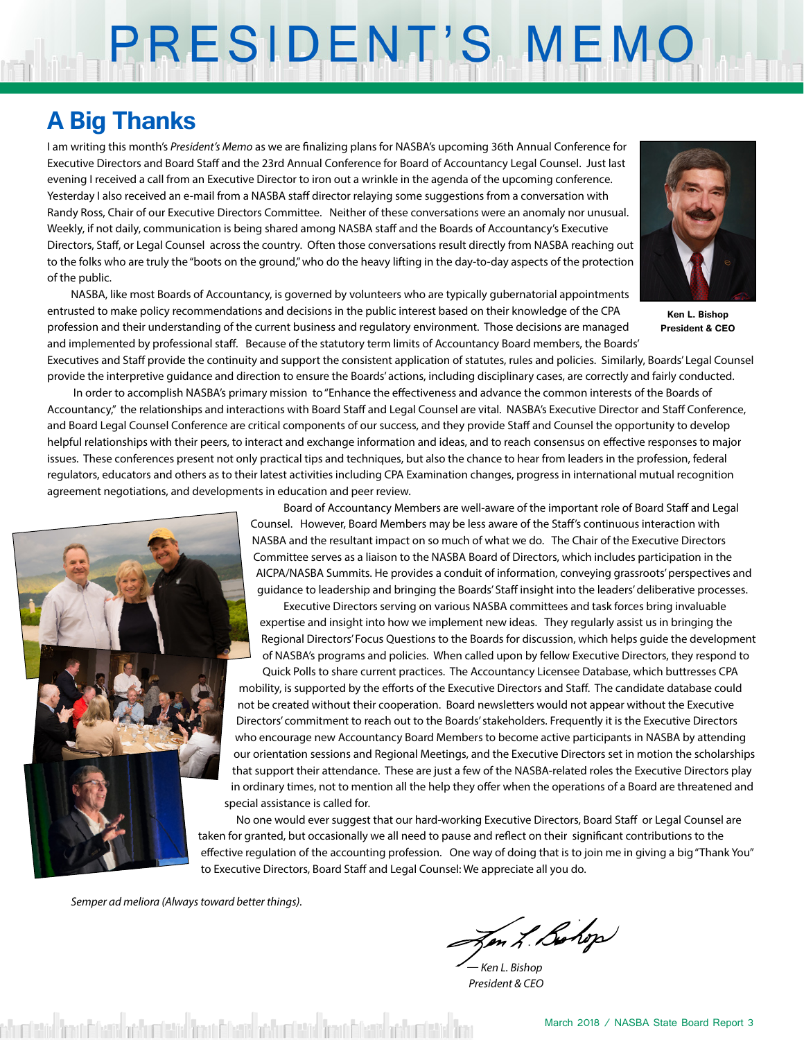# PRESIDENT'S MEMO

### **A Big Thanks**

I am writing this month's *President's Memo* as we are finalizing plans for NASBA's upcoming 36th Annual Conference for Executive Directors and Board Staff and the 23rd Annual Conference for Board of Accountancy Legal Counsel. Just last evening I received a call from an Executive Director to iron out a wrinkle in the agenda of the upcoming conference. Yesterday I also received an e-mail from a NASBA staff director relaying some suggestions from a conversation with Randy Ross, Chair of our Executive Directors Committee. Neither of these conversations were an anomaly nor unusual. Weekly, if not daily, communication is being shared among NASBA staff and the Boards of Accountancy's Executive Directors, Staff, or Legal Counsel across the country. Often those conversations result directly from NASBA reaching out to the folks who are truly the "boots on the ground," who do the heavy lifting in the day-to-day aspects of the protection of the public.

NASBA, like most Boards of Accountancy, is governed by volunteers who are typically gubernatorial appointments entrusted to make policy recommendations and decisions in the public interest based on their knowledge of the CPA profession and their understanding of the current business and regulatory environment. Those decisions are managed and implemented by professional staff. Because of the statutory term limits of Accountancy Board members, the Boards'



**Ken L. Bishop President & CEO**

Executives and Staff provide the continuity and support the consistent application of statutes, rules and policies. Similarly, Boards' Legal Counsel provide the interpretive guidance and direction to ensure the Boards' actions, including disciplinary cases, are correctly and fairly conducted.

 In order to accomplish NASBA's primary mission to "Enhance the effectiveness and advance the common interests of the Boards of Accountancy," the relationships and interactions with Board Staff and Legal Counsel are vital. NASBA's Executive Director and Staff Conference, and Board Legal Counsel Conference are critical components of our success, and they provide Staff and Counsel the opportunity to develop helpful relationships with their peers, to interact and exchange information and ideas, and to reach consensus on effective responses to major issues. These conferences present not only practical tips and techniques, but also the chance to hear from leaders in the profession, federal regulators, educators and others as to their latest activities including CPA Examination changes, progress in international mutual recognition agreement negotiations, and developments in education and peer review.



Board of Accountancy Members are well-aware of the important role of Board Staff and Legal Counsel. However, Board Members may be less aware of the Staff's continuous interaction with NASBA and the resultant impact on so much of what we do. The Chair of the Executive Directors Committee serves as a liaison to the NASBA Board of Directors, which includes participation in the AICPA/NASBA Summits. He provides a conduit of information, conveying grassroots' perspectives and guidance to leadership and bringing the Boards' Staff insight into the leaders' deliberative processes.

Executive Directors serving on various NASBA committees and task forces bring invaluable expertise and insight into how we implement new ideas. They regularly assist us in bringing the Regional Directors' Focus Questions to the Boards for discussion, which helps guide the development of NASBA's programs and policies. When called upon by fellow Executive Directors, they respond to

Quick Polls to share current practices. The Accountancy Licensee Database, which buttresses CPA mobility, is supported by the efforts of the Executive Directors and Staff. The candidate database could not be created without their cooperation. Board newsletters would not appear without the Executive Directors' commitment to reach out to the Boards' stakeholders. Frequently it is the Executive Directors who encourage new Accountancy Board Members to become active participants in NASBA by attending our orientation sessions and Regional Meetings, and the Executive Directors set in motion the scholarships that support their attendance. These are just a few of the NASBA-related roles the Executive Directors play in ordinary times, not to mention all the help they offer when the operations of a Board are threatened and special assistance is called for.

No one would ever suggest that our hard-working Executive Directors, Board Staff or Legal Counsel are taken for granted, but occasionally we all need to pause and reflect on their significant contributions to the effective regulation of the accounting profession. One way of doing that is to join me in giving a big "Thank You" to Executive Directors, Board Staff and Legal Counsel: We appreciate all you do.

*Semper ad meliora (Always toward better things).*

Jen L. Bohop

*— Ken L. Bishop President & CEO*

churtsted from Frient actualisted from Frient actualisted from Frient actualisted